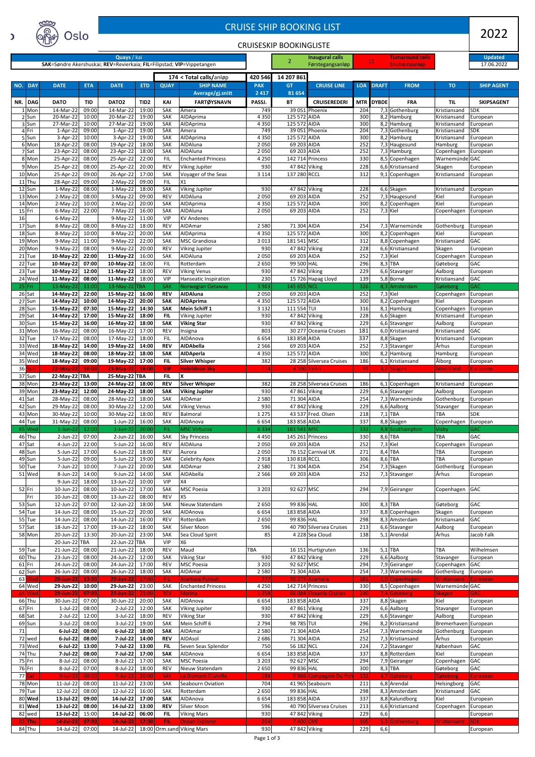| NULLIN<br><b>CRUISE SHIP BOOKING LIST</b>   |                                                                        |                     |                                   |                           |                          |                                              |                       |                               |                                          |                   | 2022         |                                    |                                   |                                 |
|---------------------------------------------|------------------------------------------------------------------------|---------------------|-----------------------------------|---------------------------|--------------------------|----------------------------------------------|-----------------------|-------------------------------|------------------------------------------|-------------------|--------------|------------------------------------|-----------------------------------|---------------------------------|
| Oslo<br>C<br><b>CRUISESKIP BOOKINGLISTE</b> |                                                                        |                     |                                   |                           |                          |                                              |                       |                               |                                          |                   |              |                                    |                                   |                                 |
| Quays / kai                                 |                                                                        |                     |                                   |                           |                          |                                              |                       | 2                             | <b>Inaugural calls</b>                   |                   | <b>11</b>    | <b>Turnaround calls</b>            |                                   | <b>Updated</b>                  |
|                                             | SAK=Søndre Akershuskai; REV=Revierkaia; FIL=Filipstad; VIP=Vippetangen |                     |                                   |                           |                          |                                              |                       |                               | Førstegangsanløp                         |                   |              | <b>Snuhavnsanløp</b>               |                                   | 17.06.2022                      |
| NO.<br><b>DAY</b>                           | <b>DATE</b>                                                            | <b>ETA</b>          | <b>DATE</b>                       | <b>ETD</b>                | <b>QUAY</b>              | 174 < Total calls/anløp<br><b>SHIP NAME</b>  | 420 546<br><b>PAX</b> | 14 207 861<br><b>GT</b>       | <b>CRUISE LINE</b>                       | <b>LOA</b>        | <b>DRAFT</b> | <b>FROM</b>                        | <b>TO</b>                         | <b>SHIP AGENT</b>               |
|                                             |                                                                        |                     |                                   |                           |                          | Average/gj.snitt                             | 2 4 1 7               | 81 654                        |                                          |                   |              |                                    |                                   |                                 |
| NR.<br><b>DAG</b><br>1 Mon                  | <b>DATO</b><br>14-Mar-22                                               | <b>TID</b><br>09:00 | DATO <sub>2</sub><br>14-Mar-22    | TID <sub>2</sub><br>19:00 | KAI<br><b>SAK</b>        | <b>FARTØYSNAVN</b><br>Amera                  | PASSJ.<br>749         | <b>BT</b>                     | <b>CRUISEREDERI</b><br>39 051 Phoenix    | <b>MTR</b><br>204 | <b>DYBDE</b> | <b>FRA</b><br>7,3 Gothenburg       | <b>TIL</b><br>Kristiansand        | <b>SKIPSAGENT</b><br><b>SDK</b> |
| 2 Sun<br>3 Sun                              | 20-Mar-22<br>27-Mar-22                                                 | 10:00<br>10:00      | 20-Mar-22<br>27-Mar-22            | 19:00<br>19:00            | SAK<br>SAK               | AIDAprima<br>AIDAprima                       | 4 3 5 0<br>4 3 5 0    | 125 572 AIDA<br>125 572 AIDA  |                                          | 300<br>300        |              | $8,2$ Hamburg<br>8,2 Hamburg       | Kristiansand<br>Kristiansand      | European<br>European            |
| 4 Fri<br>5 Sun                              | 1-Apr-22<br>3-Apr-22                                                   | 09:00<br>10:00      | 1-Apr-22<br>$3-Apr-22$            | 19:00<br>19:00            | SAK<br><b>SAK</b>        | Amera<br>AIDAprima                           | 749<br>4 3 5 0        | 125 572 AIDA                  | 39 051 Phoenix                           | 204<br>300        |              | 7,3 Gothenburg<br>8,2 Hamburg      | Kristiansand<br>Kristiansand      | SDK.<br>European                |
| 6 Mon                                       | 18-Apr-22                                                              | 08:00               | 19-Apr-22                         | 18:00                     | <b>SAK</b>               | AIDAluna                                     | 2 0 5 0               | 69 203 AIDA                   |                                          | 252               |              | 7,3 Haugesund                      | Hamburg                           | European                        |
| 7 Sat<br>8 Mon                              | 23-Apr-22<br>25-Apr-22                                                 | 08:00<br>08:00      | 23-Apr-22<br>25-Apr-22            | 18:00<br>22:00            | <b>SAK</b><br><b>FIL</b> | AIDAluna<br><b>Enchanted Princess</b>        | 2 0 5 0<br>4 2 5 0    | 69 203 AIDA                   | 142 714 Princess                         | 252<br>330        |              | 7,3 Hamburg<br>8,5 Copenhagen      | Copenhagen<br>Warnemünde GAC      | European                        |
| 9 Mon<br>10 Mon                             | 25-Apr-22<br>25-Apr-22                                                 | 08:00<br>09:00      | 25-Apr-22<br>26-Apr-22            | 20:00<br>17:00            | <b>REV</b><br>SAK        | <b>Viking Jupiter</b><br>Voyager of the Seas | 930<br>3 1 1 4        | 47 842 Viking<br>137 280 RCCL |                                          | 228<br>312        |              | 6,6 Kristiansand<br>9,1 Copenhagen | Skagen<br>Kristiansand            | European                        |
| $11$ Thu                                    | 28-Apr-22                                                              | 09:00               | $2-May-22$                        | 09:00                     | <b>FIL</b>               | X1                                           |                       |                               |                                          |                   |              |                                    |                                   | European                        |
| 12 Sun<br>13 Mon                            | $1-May-22$<br>$2-May-22$                                               | 08:00<br>08:00      | $1-May-22$<br>3-May-22            | 18:00<br>09:00            | SAK<br><b>REV</b>        | <b>Viking Jupiter</b><br>AIDAluna            | 930<br>2 0 5 0        | 47 842 Viking<br>69 203 AIDA  |                                          | 228<br>252        |              | 6,6 Skagen<br>7,3 Haugesund        | Kristiansand<br>Kiel              | European<br>European            |
| 14 Mon                                      | $2-May-22$                                                             | 10:00               | $2-May-22$                        | 20:00                     | SAK                      | AIDAprima                                    | 4 3 5 0               | 125 572 AIDA                  |                                          | 300               |              | 8,2 Copenhagen                     | Kiel                              | European                        |
| 15 Fri<br>16                                | $6$ -May-22<br>$6$ -May-22                                             | 22:00               | 7-May-22<br>9-May-22              | 16:00<br>11:00            | SAK<br><b>VIP</b>        | AIDAluna<br><b>KV Andenes</b>                | 2050                  | 69 203 AIDA                   |                                          | 252               | 7,3 Kiel     |                                    | Copenhagen                        | European                        |
| 17 Sun<br>18 Sun                            | 8-May-22<br>8-May-22                                                   | 08:00<br>10:00      | 8-May-22<br>8-May-22              | 18:00<br>20:00            | <b>REV</b><br>SAK        | AIDAmar<br>AIDAprima                         | 2 5 8 0<br>4 3 5 0    | 71 304 AIDA<br>125 572 AIDA   |                                          | 254<br>300        |              | 7,3 Warnemünde<br>8,2 Copenhagen   | Gothenburg<br>Kiel                | European<br>European            |
| 19 Mon                                      | $9-May-22$                                                             | 11:00               | 9-May-22                          | 22:00                     | SAK                      | <b>MSC Grandiosa</b>                         | 3 0 1 3               | 181 541 MSC                   |                                          | 312               |              | 8,8 Copenhagen                     | Kristiansand                      | <b>GAC</b>                      |
| 20 Mon<br>21 Tue                            | $9-May-22$<br>10-May-22                                                | 08:00<br>22:00      | 9-May-22<br>11-May-22             | 20:00<br>16:00            | <b>REV</b><br>SAK        | <b>Viking Jupiter</b><br>AIDAluna            | 930<br>2050           | 47 842 Viking<br>69 203 AIDA  |                                          | 228<br>252        | 7,3 Kiel     | 6,6 Kristiansand                   | Skagen<br>Copenhagen              | European<br>European            |
| 22 Tue                                      | 10-May-22                                                              | 07:00               | 10-May-22                         | 18:00                     | <b>FIL</b>               | Rotterdam                                    | 2 6 5 0               | 99 500 HAL                    |                                          | 296               |              | 8,3 TBA                            | Gøteborg                          | <b>GAC</b>                      |
| 23 Tue<br>24 Wed                            | 10-May-22<br>11-May-22                                                 | 12:00<br>08:00      | 11-May-22<br>11-May-22            | 18:00<br>18:00            | <b>REV</b><br><b>VIP</b> | <b>Viking Venus</b><br>Hanseatic Inspiration | 930<br>230            | 47 842 Viking                 | 15 726 Hapag Lloyd                       | 229<br>139        |              | 6,6 Stavanger<br>5,8 Bornø         | Aalborg<br>Kristiansand           | European<br><b>GAC</b>          |
| $25$ Fri                                    | $13-May-22$                                                            | 11:00               | $13$ -May-22 TBA                  |                           | <b>SAK</b>               | Norwegian Getaway                            | 3 9 6 3               | 145 655 NCL                   |                                          | 326               |              | 8,3 Amsterdam                      | Gøteborg                          | <b>GAC</b>                      |
| 26 Sat<br>27 Sun                            | 14-May-22<br>14-May-22                                                 | 22:00<br>10:00      | 15-May-22<br>14-May-22            | 16:00<br>20:00            | <b>REV</b><br><b>SAK</b> | <b>AIDAluna</b><br><b>AIDAprima</b>          | 2 0 5 0<br>4 3 5 0    | 69 203 AIDA<br>125 572 AIDA   |                                          | 252<br>300        | 7,3 Kiel     | 8,2 Copenhagen                     | Copenhagen<br>Kiel                | European<br>European            |
| 28 Sun<br>29 Sat                            | 15-May-22<br>14-May-22                                                 | 07:30<br>17:00      | 15-May-22 14:30<br>15-May-22      | 18:00                     | <b>SAK</b><br><b>FIL</b> | Mein Schiff 1<br><b>Viking Jupiter</b>       | 3 1 3 2<br>930        | 111 554 TUI<br>47 842 Viking  |                                          | 316<br>228        |              | 8,1 Hamburg<br>6,6 Skagen          | Copenhagen<br>Kristiansand        | European<br>European            |
| 30 Sun                                      | 15-May-22                                                              | 16:00               | 16-May-22                         | 18:00                     | <b>SAK</b>               | <b>Viking Star</b>                           | 930                   | 47 842 Viking                 |                                          | 229               |              | 6,6 Stavanger                      | Aalborg                           | European                        |
| 31 Mon<br>32 Tue                            | 16-May-22<br>17-May-22                                                 | 08:00<br>08:00      | 16-May-22<br>17-May-22            | 17:00<br>18:00            | <b>REV</b><br><b>FIL</b> | Insigna<br>AIDAnova                          | 803<br>6654           | 183 858 AIDA                  | 30 277 Oceania Cruises                   | 181<br>337        |              | 6,0 Kristiansand<br>8,8 Skagen     | Kristiansand<br>Kristiansand      | <b>GAC</b><br>European          |
| 33 Wed                                      | 18-May-22                                                              | 14:00               | 19-May-22                         | 14:00                     | <b>REV</b>               | <b>AIDAbella</b>                             | 2 5 6 6               | 69 203 AIDA                   |                                          | 252               |              | 7,3 Stavanger                      | Århus                             | European                        |
| 34 Wed<br>35 Wed                            | 18-May-22<br>18-May-22                                                 | 08:00<br>09:00      | 18-May-22<br>19-May-22            | 18:00<br>17:00            | <b>SAK</b><br><b>FIL</b> | <b>AIDAperla</b><br><b>Silver Whisper</b>    | 4 3 5 0<br>382        | 125 572 AIDA                  | 28 258 Silversea Cruises                 | 300<br>186        |              | 8,2 Hamburg<br>6,1 Kristiansand    | Hamburg<br>Ålborg                 | European<br>European            |
| 36<br>un<br>37 Sun                          | 22-May-22<br>22-May-22 TBA                                             | 10:00               | 23-May-22 18:00<br>25-May-22 TBA  |                           | <b>VIP</b><br><b>FIL</b> | <b>Hebridean Sky</b><br>X                    | 114                   |                               | 4 200 Salèn                              | 91                |              | 4,2 Skagen                         | <b>Marstrand</b>                  | <b>European</b>                 |
| 38 Mon                                      | 23-May-22                                                              | 13:00               | 24-May-22                         | 18:00                     | <b>REV</b>               | <b>Silver Whisper</b>                        | 382                   |                               | 28 258 Silversea Cruises                 | 186               |              | 6,1 Copenhagen                     | Kristiansand                      | European                        |
| 39 Mon<br>41 Sat                            | 23-May-22<br>28-May-22                                                 | 12:00<br>08:00      | 24-May-22<br>28-May-22            | 18:00<br>18:00            | <b>SAK</b><br>SAK        | <b>Viking Jupiter</b><br>AIDAmar             | 930<br>2 5 8 0        | 47 861 Viking<br>71 304 AIDA  |                                          | 229<br>254        |              | 6,6 Stavanger<br>7,3 Warnemünde    | Aalborg<br>Gothenburg             | European<br>European            |
| 42 Sun                                      | 29-May-22                                                              | 08:00               | 30-May-22                         | 12:00                     | SAK                      | <b>Viking Venus</b>                          | 930                   | 47 842 Viking                 |                                          | 229               |              | 6,6 Aalborg                        | Stavanger                         | European                        |
| 43 Mon<br>44 Tue                            | 30-May-22<br>31-May-22                                                 | 10:00<br>08:00      | 30-May-22<br>$1$ -Jun-22          | 18:00<br>16:00            | <b>REV</b><br>SAK        | Balmoral<br>AIDAnova                         | 1 2 7 5<br>6654       | 183 858 AIDA                  | 43 537 Fred. Olsen                       | 218<br>337        |              | $7,1$ TBA<br>8,8 Skagen            | TBA<br>Copenhagen                 | <b>SDK</b><br>European          |
| 45<br>Wed                                   | $1$ -Jun-22<br>2-Jun-22                                                | 12:00               | $1$ -Jun-22                       | 20:00<br>16:00            | <b>FIL</b>               | <b>MSC Virtuosa</b>                          | 6 3 3 4               | 181 541 MSC                   | 145 261 Princess                         | 332<br>330        |              | 8,8 Southampton<br>8,6 TBA         | Visby<br>TBA                      | <b>GAC</b><br><b>GAC</b>        |
| 46 Thu<br>47 Sat                            | 4-Jun-22                                                               | 07:00<br>22:00      | 2-Jun-22<br>5-Jun-22              | 16:00                     | SAK<br><b>REV</b>        | <b>Sky Princess</b><br>AIDAluna              | 4 4 5 0<br>2 0 5 0    | 69 203 AIDA                   |                                          | 252               | 7,3 Kiel     |                                    | Copenhagen                        | European                        |
| 48 Sun<br>49 Sun                            | 5-Jun-22<br>5-Jun-22                                                   | 17:00<br>09:00      | 6-Jun-22<br>5-Jun-22              | 18:00<br>19:00            | <b>REV</b><br>SAK        | Aurora<br><b>Celebrity Apex</b>              | 2 0 5 0<br>2918       | 130 818 RCCL                  | 76 152 Carnival UK                       | 271<br>306        |              | 8,4 TBA<br>8,6 TBA                 | TBA<br>TBA                        | European<br>European            |
| 50 Tue                                      | 7-Jun-22                                                               | 10:00               | 7-Jun-22                          | 20:00                     | SAK                      | AIDAmar                                      | 2 5 8 0               | 71 304 AIDA                   |                                          | 254               |              | $\overline{7}$ ,3 Skagen           | Gothenburg                        | European                        |
| 51 Wed                                      | 8-Jun-22<br>9-Jun-22                                                   | 14:00<br>18:00      | 9-Jun-22<br>13-Jun-22             | 14:00<br>10:00            | SAK<br><b>VIP</b>        | AIDAbella<br>X <sub>4</sub>                  | 2 5 6 6               | 69 203 AIDA                   |                                          | 252               |              | 7,3 Stavanger                      | Århus                             | European                        |
| 52 Fri                                      | 10-Jun-22                                                              | 08:00               | 10-Jun-22                         | 17:00                     | SAK                      | <b>MSC Poesia</b>                            | 3 2 0 3               | 92 627 MSC                    |                                          | 294               |              | 7,9 Geiranger                      | Copenhagen                        | <b>GAC</b>                      |
| Fri<br>53 Sun                               | 10-Jun-22<br>12-Jun-22                                                 | 08:00<br>07:00      | 13-Jun-22<br>12-Jun-22            | 08:00<br>18:00            | <b>REV</b><br>SAK        | X5<br>Nieuw Statendam                        | 2 6 5 0               | 99 836 HAL                    |                                          | 300               |              | $8,3$ TBA                          | Gøteborg                          | <b>GAC</b>                      |
| 54 Tue                                      | 14-Jun-22                                                              | 08:00               | 15-Jun-22                         | 20:00                     | SAK                      | AIDAnova                                     | 6654                  | 183 858 AIDA                  |                                          | 337               |              | 8,8 Copenhagen                     | Skagen                            | European                        |
| 55 Tue<br>57 Sat                            | 14-Jun-22<br>$18$ -Jun-22                                              | 08:00<br>17:00      | 14-Jun-22<br>19-Jun-22            | 16:00<br>18:00            | <b>REV</b><br>SAK        | Rotterdam<br>Silver Moon                     | 2 6 5 0<br>596        | 99 836 HAL                    | 40 790 Silversea Cruises                 | 298<br>213        |              | 8,3 Amsterdam<br>6,6 Stavanger     | Kristiansand<br>Aalborg           | <b>GAC</b><br>European          |
| 58 Mon                                      | 20-Jun-22<br>20-Jun-22 TBA                                             | 13:30               | 20-Jun-22<br>22-Jun-22 TBA        | 23:00                     | SAK<br><b>VIP</b>        | Sea Cloud Spirit<br>X6                       | 85                    |                               | 4 228 Sea Cloud                          | 138               |              | 5,1 Arendal                        | Århus                             | Jacob Falk                      |
| 59 Tue                                      | 21-Jun-22                                                              | 08:00               | 21-Jun-22                         | 18:00                     | <b>REV</b>               | Maud                                         | <b>TBA</b>            |                               | 16 151 Hurtigruten                       | 136               |              | $5,1$ TBA                          | TBA                               | Wilhelmsen                      |
| 60 Thu<br>61 Fri                            | $23$ -Jun- $22$<br>$24$ -Jun- $22$                                     | 08:00<br>08:00      | 24-Jun-22<br>24-Jun-22            | 12:00<br>17:00            | SAK<br><b>REV</b>        | <b>Viking Star</b><br><b>MSC Poesia</b>      | 930<br>3 2 0 3        | 47 842 Viking<br>92 627 MSC   |                                          | 229<br>294        |              | 6,6 Aalborg<br>7,9 Geiranger       | Stavanger<br>Copenhagen           | European<br>GAC                 |
| 62 Sun<br>63<br>Vec                         | 26-Jun-22<br><b>29-Jun-22</b>                                          | 08:00<br>13:00      | 26-Jun-22<br><b>29-Jun-22</b>     | 18:00<br>17:00            | SAK<br><b>FIL</b>        | AIDAmar<br><b>Azamara Pursuit</b>            | 2 5 8 0<br>777        | 71 304 AIDA                   | 30 277 Azamara                           | 254<br>181        |              | 7,3 Warnemünde<br>6,0 Copenhagen   | Gothenburg<br><b>Kristiansand</b> | European<br>European            |
| 64 Wed                                      | 29-Jun-22                                                              | 10:00               | 29-Jun-22                         | 23:00                     | SAK                      | <b>Enchanted Princess</b>                    | 4 2 5 0               |                               | 142 714 Princess                         | 330               |              | 8,5 Copenhagen                     | Warnemünde GAC                    |                                 |
| 65   Wed<br>66 Thu                          | 29-Jun-22 07:00<br>30-Jun-22                                           | 07:00               | $29$ -Jun-22 $21:00$<br>30-Jun-22 | 20:00                     | <b>REV</b><br>SAK        | Marina<br>AIDAnova                           | <b>1258</b><br>6654   | 183 858 AIDA                  | 66 084 Oceania Cruises                   | <b>240</b><br>337 |              | 7,4 Gøteborg<br>8,8 Skagen         | <b>Skagen</b><br>Kiel             | GAC.<br>European                |
| 67 Fri                                      | $1$ -Jul-22                                                            | 08:00               | 2-Jul-22                          | 12:00                     | SAK                      | <b>Viking Jupiter</b>                        | 930                   | 47 861 Viking                 |                                          | 229               |              | 6,6 Aalborg                        | Stavanger                         | European                        |
| 68 Sat<br>69 Sun                            | 2-Jul-22<br>3-Jul-22                                                   | 12:00<br>08:00      | $3$ -Jul-22<br>3-Jul-22           | 18:00<br>19:00            | <b>REV</b><br>SAK        | <b>Viking Star</b><br>Mein Schiff 6          | 930<br>2 7 9 4        | 47 842 Viking<br>98 785 TUI   |                                          | 229<br>296        |              | 6,6 Stavanger<br>8,2 Kristiansand  | Aalborg<br>Bremerhaven European   | European                        |
| 71<br>72 wed                                | $6$ -Jul-22<br>6-Jul-22                                                | 08:00<br>08:00      | $6$ -Jul-22<br>7-Jul-22           | 18:00<br>14:00            | <b>SAK</b><br><b>REV</b> | AIDAmar<br>AIDAsol                           | 2 5 8 0<br>2686       | 71 304 AIDA<br>71 304 AIDA    |                                          | 254<br>252        |              | 7,3 Warnemünde<br>7,3 Kristiansand | Gothenburg<br>Århus               | European<br>European            |
| 73 Wed                                      | $6$ -Jul-22                                                            | 13:00               | 7-Jul-22                          | 13:00                     | <b>FIL</b>               | Seven Seas Splendor                          | 750                   | 56 182 NCL                    |                                          | 224               |              | 7,2 Stavanger                      | København                         | GAC                             |
| 74 Thu<br>75 Fri                            | 7-Jul-22<br>8-Jul-22                                                   | 08:00<br>08:00      | $7$ -Jul-22<br>8-Jul-22           | 17:00<br>17:00            | <b>SAK</b><br>SAK        | AIDAnova<br><b>MSC Poesia</b>                | 6654<br>3 2 0 3       | 183 858 AIDA<br>92 627 MSC    |                                          | 337<br>294        |              | 8,8 Rotterdam<br>7,9 Geiranger     | Kiel<br>Copenhagen                | European<br>GAC                 |
| 76 Fri                                      | 8-Jul-22                                                               | 07:00               | 8-Jul-22                          | 18:00                     | REV                      | Nieuw Statendam                              | 2 6 5 0               | 99 836 HAL                    |                                          | 300               |              | 8,3 TBA                            | Gøteborg                          | GAC                             |
| 77 Sat<br>78 Mon                            | $9$ -Jul-22<br>$11$ -Jul-22                                            | 08:00<br>08:00      | $9$ -Jul-22<br>11-Jul-22          | 20:00<br>23:00            | <b>SAK</b><br>SAK        | Le Dumont D'urville<br>Seabourn Oviation     | 184<br>704            |                               | 9966 Compagnie Du Pon<br>41 965 Seabourn | 132<br>211        |              | 4,7 Gøteborg<br>$6,8$ Arendal      | Gøteborg<br>Helsingborg           | European,<br>GAC                |
| 79 Tue                                      | 12-Jul-22                                                              | 08:00               | 12-Jul-22                         | 16:00                     | SAK                      | Rotterdam                                    | 2 6 5 0               | 99 836 HAL                    |                                          | 298               |              | 8,3 Amsterdam                      | Kristiansand                      | <b>GAC</b>                      |
| 80 Wed<br>81 Wed                            | 13-Jul-22<br>13-Jul-22                                                 | 09:00<br>08:00      | 14-Jul-22<br>14-Jul-22            | 17:00<br>13:00            | <b>SAK</b><br><b>REV</b> | AIDAnova<br>Silver Moon                      | 6654<br>596           | 183 858 AIDA                  | 40 790 Silversea Cruises                 | 337<br>213        |              | 8,8 Kalundborg<br>6,6 Kristiansand | Kiel<br>Copenhagen                | European<br>European            |
| 82 wed<br>$83$ Thu                          | 13-Jul-22<br>$14$ -Jul-22                                              | 15:00<br>  07:00    | 14-Jul-22<br>14-Jul-22 17:30      | 06:00                     | <b>FIL</b><br><b>FIL</b> | <b>Viking Mars</b><br>Ocean Explorer         | 930<br>264            | 47 842 Viking<br>7400 CMI     |                                          | 229<br>105        | 6,6          | 5,3 Gothenburg                     | <b>Kristiansand</b>               | European<br><b>SDK</b>          |
| 84 Thu                                      | $14$ -Jul-22                                                           | 07:00               | 14-Jul-22                         |                           |                          | 18:00 Orm.sand Viking Mars                   | 930                   | 47 842 Viking                 |                                          | 229               | 6,6          |                                    |                                   | European                        |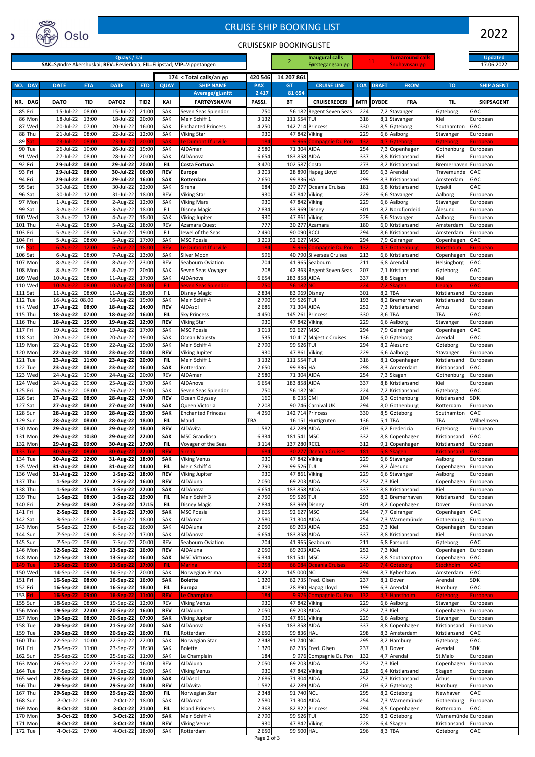|                                                                                       | www<br><b>CRUISE SHIP BOOKING LIST</b><br>ര<br>Oslo |                              |                |                              |                  |                          |                                                 |                                |                               |                                             |            | 2022         |                                                 |                                     |                              |
|---------------------------------------------------------------------------------------|-----------------------------------------------------|------------------------------|----------------|------------------------------|------------------|--------------------------|-------------------------------------------------|--------------------------------|-------------------------------|---------------------------------------------|------------|--------------|-------------------------------------------------|-------------------------------------|------------------------------|
| C                                                                                     |                                                     |                              |                |                              |                  |                          |                                                 | <b>CRUISESKIP BOOKINGLISTE</b> |                               |                                             |            |              |                                                 |                                     |                              |
| Quays / kai<br>SAK=Søndre Akershuskai; REV=Revierkaia; FIL=Filipstad; VIP=Vippetangen |                                                     |                              |                |                              |                  |                          |                                                 |                                | 2                             | Inaugural calls<br>Førstegangsanløp         |            | <b>11</b>    | <u>Turnaround calls</u><br><b>Snuhavnsanløp</b> |                                     | <b>Updated</b><br>17.06.2022 |
| 174 < Total calls/anløp                                                               |                                                     |                              |                |                              |                  |                          | 420 546                                         | 14 207 861                     |                               |                                             |            |              |                                                 |                                     |                              |
| NO.                                                                                   | <b>DAY</b>                                          | <b>DATE</b>                  | <b>ETA</b>     | <b>DATE</b>                  | <b>ETD</b>       | <b>QUAY</b>              | <b>SHIP NAME</b><br>Average/gj.snitt            | <b>PAX</b><br>2 4 1 7          | <b>GT</b><br>81 654           | <b>CRUISE LINE</b>                          | <b>LOA</b> | <b>DRAFT</b> | <b>FROM</b>                                     | <b>TO</b>                           | <b>SHIP AGENT</b>            |
| NR.                                                                                   | <b>DAG</b>                                          | <b>DATO</b>                  | <b>TID</b>     | DATO <sub>2</sub>            | TID <sub>2</sub> | KAI                      | <b>FARTØYSNAVN</b>                              | PASSJ.                         | <b>BT</b>                     | <b>CRUISEREDERI</b>                         | <b>MTR</b> | <b>DYBDE</b> | <b>FRA</b>                                      | TIL                                 | <b>SKIPSAGENT</b>            |
|                                                                                       | 85 Fri<br>86 Mon                                    | 15-Jul-22<br>18-Jul-22       | 08:00<br>13:00 | 15-Jul-22<br>18-Jul-22       | 21:00<br>20:00   | SAK<br>SAK               | Seven Seas Splendor<br>Mein Schiff 1            | 750<br>3 1 3 2                 | 111 554 TUI                   | 56 182 Regent Seven Seas                    | 224<br>316 |              | 7,2 Stavanger<br>8,1 Stavanger                  | Gøteborg<br>Kiel                    | <b>GAC</b><br>European       |
|                                                                                       | 87 Wed<br>88 Thu                                    | 20-Jul-22<br>21-Jul-22       | 07:00<br>08:00 | 20-Jul-22<br>22-Jul-22       | 16:00<br>12:00   | SAK<br>SAK               | <b>Enchanted Princess</b><br><b>Viking Star</b> | 4 2 5 0<br>930                 | 47 842 Viking                 | 142 714 Princess                            | 330<br>229 |              | 8,5 Gøteborg<br>6,6 Aalborg                     | Southamton<br>Stavanger             | <b>GAC</b><br>European       |
| 89                                                                                    | at<br>90 Tue                                        | $23$ -Jul-22<br>26-Jul-22    | 08:00<br>10:00 | 23-Jul-22<br>26-Jul-22       | 20:00<br>19:00   | <b>SAK</b><br>SAK        | Le Dumont D'urville<br>AIDAmar                  | 184<br>2 5 8 0                 | 71 304 AIDA                   | 9966 Compagnie Du Por                       | 132<br>254 |              | 4.7 Gøteborg<br>7,3 Copenhagen                  | Gøteborg                            | <b>European</b>              |
|                                                                                       | 91 Wed                                              | 27-Jul-22                    | 08:00          | 28-Jul-22                    | 20:00            | SAK                      | AIDAnova                                        | 6654                           | 183 858 AIDA                  |                                             | 337        |              | 8,8 Kristiansand                                | Gothenburg<br>Kiel                  | European<br>European         |
|                                                                                       | 92 Fri<br>93 Fri                                    | 29-Jul-22<br>29-Jul-22       | 08:00<br>08:00 | 29-Jul-22<br>30-Jul-22       | 20:00<br>06:00   | <b>FIL</b><br><b>REV</b> | Costa Fortuna<br><b>Europa</b>                  | 3 4 7 0<br>3 2 0 3             | 102 587 Costa                 | 28 890 Hapag Lloyd                          | 273<br>199 |              | 8.2 Kristiansand<br>6,3 Arendal                 | <b>Bremerhaven</b><br>Travemunde    | European<br><b>GAC</b>       |
|                                                                                       | 94 Fri<br>95 Sat                                    | 29-Jul-22<br>30-Jul-22       | 08:00<br>08:00 | 29-Jul-22<br>30-Jul-22       | 16:00<br>22:00   | <b>SAK</b><br>SAK        | Rotterdam<br>Sirena                             | 2650<br>684                    | 99 836 HAL                    | 30 277 Oceania Cruises                      | 299<br>181 |              | 8,3 Kristiansand<br>5,8 Kristiansand            | Amsterdam<br>Lysekil                | <b>GAC</b><br><b>GAC</b>     |
|                                                                                       | 96 Sat                                              | 30-Jul-22                    | 12:00          | 31-Jul-22                    | 18:00            | <b>REV</b>               | <b>Viking Star</b>                              | 930                            | 47 842 Viking                 |                                             | 229        |              | 6,6 Stavanger                                   | Aalborg                             | European                     |
|                                                                                       | 97 Mon<br>99 Sat                                    | 1-Aug-22<br>3-Aug-22         | 08:00<br>08:00 | 2-Aug-22<br>3-Aug-22         | 12:00<br>18:00   | SAK<br><b>FIL</b>        | <b>Viking Mars</b><br>Disney Magic              | 930<br>2834                    | 47 842 Viking                 | 83 969 Disney                               | 229<br>301 |              | 6,6 Aalborg<br>8,2 Nordfjordeid                 | Stavanger<br>Ålesund                | European<br>European         |
| 101                                                                                   | 100 Wed<br> Thu                                     | 3-Aug-22<br>4-Aug-22         | 12:00<br>08:00 | 4-Aug-22<br>5-Aug-22         | 18:00<br>18:00   | SAK<br><b>REV</b>        | Viking Jupiter<br>Azamara Quest                 | 930<br>777                     |                               | 47 861 Viking<br>30 277 Azamara             | 229<br>180 |              | 6,6 Stavanger<br>6.0 Kristiansand               | Aalborg<br>Amsterdam                | European<br>European         |
| 103 Fri                                                                               |                                                     | 5-Aug-22                     | 08:00          | 5-Aug-22                     | 19:00            | <b>FIL</b>               | Jewel of the Seas                               | 2 4 9 0                        | 90 090 RCCL                   |                                             | 294        |              | 8,6 Kristiansand                                | Amsterdam                           | European                     |
| 104 Fri<br>105                                                                        | at                                                  | 5-Aug-22<br>$6 - Aug-22$     | 08:00<br>12:00 | 5-Aug-22<br>$6 - Aug-22$     | 17:00<br>18:00   | SAK<br><b>REV</b>        | <b>MSC Poesia</b><br>Le Dumont D'urville        | 3 2 0 3<br>184                 | 92 627 MSC                    | 9966 Compagnie Du Por                       | 294<br>132 |              | 7,9 Geiranger<br>4.7 Gothenburg                 | Copenhagen<br>Hanstholm             | GAC<br>European              |
|                                                                                       | 106 Sat<br>107 Mon                                  | 6-Aug-22<br>8-Aug-22         | 08:00<br>08:00 | 7-Aug-22<br>8-Aug-22         | 13:00<br>23:00   | SAK<br><b>REV</b>        | <b>Silver Moon</b><br>Seabourn Oviation         | 596<br>704                     |                               | 40 790 Silversea Cruises<br>41 965 Seabourn | 213<br>211 |              | 6,6 Kristiansand<br>6,8 Arendal                 | Copenhagen<br>Helsingborg           | European<br><b>GAC</b>       |
|                                                                                       | 108 Mon                                             | 8-Aug-22                     | 08:00          | 8-Aug-22                     | 20:00            | SAK                      | Seven Seas Voyager                              | 708                            |                               | 42 363 Regent Seven Seas                    | 207        |              | 7.1 Kristiansand                                | Gøteborg                            | <b>GAC</b>                   |
|                                                                                       | 109 Wed<br>110 Wed                                  | 10-Aug-22<br>$10-Aug-22$     | 08:00<br>08:00 | 11-Aug-22<br>$10$ -Aug-22    | 17:00<br>18:00   | SAK<br><b>FIL</b>        | AIDAnova<br>Seven Seas Splendor                 | 6654<br>750                    | 183 858 AIDA<br>56 182 NCL    |                                             | 337<br>224 |              | 8,8 Skagen<br>7.2 Skagen                        | Kiel<br>Liepaja.                    | European<br><b>GAC</b>       |
|                                                                                       | $111$ Sat<br>112 Tue                                | 11-Aug-22<br>16-Aug-22 08.00 | 08:00          | 11-Aug-22<br>16-Aug-22       | 18:00<br>19:00   | <b>FIL</b><br>SAK        | <b>Disney Magic</b><br>Mein Schiff 4            | 2834<br>2 7 9 0                | 99 526 TUI                    | 83 969 Disney                               | 301<br>193 | 8,2 TBA      | 8,2 Bremerhaven                                 | Kristiansand<br>Kristiansand        | European<br>European         |
|                                                                                       | 113 Wed                                             | 17-Aug-22                    | 08:00          | 18-Aug-22                    | 14:00            | <b>REV</b>               | AIDAsol                                         | 2686                           | 71 304 AIDA                   |                                             | 252        |              | 7,3 Kristiansand                                | Århus                               | European                     |
|                                                                                       | 115 Thu<br>116 Thu                                  | 18-Aug-22<br>18-Aug-22       | 07:00<br>15:00 | 18-Aug-22<br>19-Aug-22       | 16:00<br>12:00   | FIL<br><b>REV</b>        | <b>Sky Princess</b><br><b>Viking Star</b>       | 4 4 5 0<br>930                 |                               | 145 261 Princess<br>47 842 Viking           | 330<br>229 | 8,6 TBA      | 6,6 Aalborg                                     | TBA<br>Stavanger                    | <b>GAC</b><br>European       |
| 117 Fri                                                                               | 118 Sat                                             | 19-Aug-22<br>20-Aug-22       | 08:00<br>08:00 | 19-Aug-22<br>20-Aug-22       | 17:00<br>19:00   | SAK<br>SAK               | <b>MSC Poesia</b><br>Ocean Majesty              | 3 0 1 3<br>535                 | 92 627 MSC                    | 10 417 Majestic Cruises                     | 294<br>136 |              | 7,9 Geiranger<br>6,0 Gøteborg                   | Copenhagen<br>Arendal               | <b>GAC</b><br><b>GAC</b>     |
|                                                                                       | 119 Mon                                             | 22-Aug-22                    | 08:00          | 22-Aug-22                    | 19:00            | SAK                      | Mein Schiff 4                                   | 2 7 9 0                        | 99 526 TUI                    |                                             | 294        |              | 8,2 Ålesund                                     | Gøteborg                            | European                     |
|                                                                                       | 120 Mon<br>$121$ Tue                                | 22-Aug-22<br>23-Aug-22       | 10:00<br>11:00 | 23-Aug-22<br>23-Aug-22       | 10:00<br>20:00   | <b>REV</b><br><b>FIL</b> | <b>Viking Jupiter</b><br>Mein Schiff 1          | 930<br>3 1 3 2                 | 111 554 TUI                   | 47 861 Viking                               | 229<br>316 |              | 6,6 Aalborg<br>8,1 Copenhagen                   | Stavanger<br>Kristiansand           | European<br>European         |
|                                                                                       | $122$ Tue<br>123 Wed                                | 23-Aug-22<br>24-Aug-22       | 08:00<br>10:00 | 23-Aug-22<br>24-Aug-22       | 16:00<br>20:00   | <b>SAK</b><br><b>REV</b> | Rotterdam<br>AIDAmar                            | 2 6 5 0<br>2 5 8 0             | 99 836 HAL<br>71 304 AIDA     |                                             | 298<br>254 |              | 8,3 Amsterdam<br>7,3 Skagen                     | Kristiansand<br>Gothenburg          | GAC<br>European              |
|                                                                                       | 124 Wed                                             | 24-Aug-22                    | 09:00          | 25-Aug-22                    | 17:00            | SAK                      | AIDAnova                                        | 6654                           | 183 858 AIDA                  |                                             | 337        |              | 8,8 Kristiansand                                | Kiel                                | European                     |
| 125 Fri                                                                               | 126 Sat                                             | 26-Aug-22<br>27-Aug-22       | 08:00<br>08:00 | 26-Aug-22<br>28-Aug-22       | 19:00<br>17:00   | SAK<br><b>REV</b>        | Seven Seas Splendor<br>Ocean Odyssey            | 750<br>160                     | 56 182 NCL<br>8 035 CMI       |                                             | 224<br>104 |              | 7,2 Kristiansand<br>5,3 Gothenburg              | Gøteborg<br>Kristiansand            | GAC<br><b>SDK</b>            |
|                                                                                       | $127$ Sat<br>128 Sun                                | 27-Aug-22<br>28-Aug-22       | 08:00<br>10:00 | 27-Aug-22<br>28-Aug-22       | 19:00<br>19:00   | <b>SAK</b><br><b>SAK</b> | Queen Victoria<br><b>Enchanted Princess</b>     | 2 2 0 8<br>4 2 5 0             |                               | 90 746 Carnival UK<br>142 714 Princess      | 294<br>330 |              | 8,0 Gothenburg<br>8,5 Gøteborg                  | Rotterdam<br>Southamton             | European<br>GAC              |
|                                                                                       | 129 Sun                                             | 28-Aug-22                    | 08:00          | 28-Aug-22                    | 18:00            | <b>FIL</b>               | Maud                                            | <b>TBA</b>                     |                               | 16 151 Hurtigruten                          | 136        | $5,1$ TBA    |                                                 | TBA                                 | Wilhelmsen                   |
|                                                                                       | 130 Mon<br>131 Mon                                  | 29-Aug-22<br>29-Aug-22       | 08:00<br>10:30 | 29-Aug-22<br>29-Aug-22       | 18:00<br>22:00   | <b>REV</b><br><b>SAK</b> | AIDAvita<br><b>MSC Grandiosa</b>                | 1582<br>6 3 3 4                | 42 289 AIDA<br>181 541 MSC    |                                             | 203<br>332 |              | 6,2 Fredericia<br>8,8 Copenhagen                | Gøteborg<br>Kristiansand            | European<br>GAC              |
| 133                                                                                   | 132 Mon<br>Tue                                      | 29-Aug-22<br>30-Aug-22       | 09:00<br>08:00 | 30-Aug-22<br>$30-Aug-22$     | 17:00<br>22:00   | <b>FIL</b><br><b>REV</b> | Voyager of the Seas<br>Sirena                   | 3 1 1 4<br>684                 | 137 280 RCCL                  | 30 277 Oceania Cruises                      | 312<br>181 |              | 9,1 Copenhagen<br>5,8 Skagen                    | Kristiansand<br><b>Kristiansand</b> | European<br><b>GAC</b>       |
|                                                                                       | 134 Tue                                             | 30-Aug-22                    | 12:00          | 31-Aug-22                    | 18:00            | <b>SAK</b>               | <b>Viking Venus</b>                             | 930                            |                               | 47 842 Viking                               | 229        |              | 6,6 Stavanger                                   | Aalborg                             | European                     |
|                                                                                       | 135 Wed<br>136 Wed                                  | 31-Aug-22<br>31-Aug-22       | 08:00<br>12:00 | 31-Aug-22<br>1-Sep-22        | 14:00<br>18:00   | <b>FIL</b><br><b>REV</b> | Mein Schiff 4<br><b>Viking Jupiter</b>          | 2 7 9 0<br>930                 | 99 526 TUI<br>47 861 Viking   |                                             | 293<br>229 |              | 8,2 Ålesund<br>6,6 Stavanger                    | Copenhagen<br>Aalborg               | European<br>European         |
|                                                                                       | 137 Thu<br>138 Thu                                  | 1-Sep-22<br>1-Sep-22         | 22:00<br>15:00 | $2-Sep-22$<br>$1-Sep-22$     | 16:00<br>22:00   | <b>REV</b><br><b>SAK</b> | AIDAluna<br>AIDAnova                            | 2 0 5 0<br>6654                | 69 203 AIDA<br>183 858 AIDA   |                                             | 252<br>337 | 7,3 Kiel     | 8,8 Kristiansand                                | Copenhagen<br>Kiel                  | European<br>European         |
|                                                                                       | 139 Thu                                             | 1-Sep-22                     | 08:00          | $1-Sep-22$                   | 19:00            | <b>FIL</b>               | Mein Schiff 3                                   | 2750                           | 99 526 TUI                    |                                             | 293        |              | 8,2 Bremerhaven                                 | Kristiansand                        | European                     |
| 140 Fri<br>141 Fri                                                                    |                                                     | 2-Sep-22<br>2-Sep-22         | 09:30<br>08:00 | 2-Sep-22<br>2-Sep-22         | 17:15<br>17:00   | <b>FIL</b><br><b>SAK</b> | <b>Disney Magic</b><br><b>MSC Poesia</b>        | 2 8 3 4<br>3 6 0 5             | 92 627 MSC                    | 83 969 Disney                               | 301<br>294 |              | 8,2 Copenhagen<br>7,7 Geiranger                 | Dover<br>Copenhagen                 | European<br><b>GAC</b>       |
|                                                                                       | 142 Sat<br>143 Mon                                  | 3-Sep-22                     | 08:00<br>22:00 | 3-Sep-22<br>6-Sep-22         | 18:00<br>16:00   | SAK<br>SAK               | AIDAmar<br>AIDAluna                             | 2 5 8 0<br>2 0 5 0             | 71 304 AIDA<br>69 203 AIDA    |                                             | 254<br>252 | 7,3 Kiel     | 7,3 Warnemünde                                  | Gothenburg                          | European<br>European         |
|                                                                                       | 144 Sun                                             | 5-Sep-22<br>7-Sep-22         | 09:00          | 8-Sep-22                     | 17:00            | SAK                      | AIDAnova                                        | 6654                           | 183 858 AIDA                  |                                             | 337        |              | 8,8 Kristiansand                                | Copenhagen<br>Kiel                  | European                     |
|                                                                                       | 145 Sun<br>146 Mon                                  | 7-Sep-22<br>12-Sep-22        | 08:00<br>22:00 | 7-Sep-22<br>13-Sep-22        | 20:00<br>16:00   | <b>REV</b><br><b>REV</b> | Seabourn Oviation<br>AIDAluna                   | 704<br>2 0 5 0                 | 69 203 AIDA                   | 41 965 Seabourn                             | 211<br>252 | 7,3 Kiel     | 6,8 Farsund                                     | Gøteborg<br>Copenhagen              | <b>GAC</b><br>European       |
| 1491                                                                                  | 148 Mon                                             | 12-Sep-22<br>13-Sep-22       | 13:00<br>06:00 | 13-Sep-22<br>$13-Sep-22$     | 16:00<br>17:00   | <b>SAK</b><br><b>FIL</b> | <b>MSC Virtuosa</b><br><b>Marina</b>            | 6 3 3 4<br>1 2 5 8             | 181 541 MSC                   | 66 084 Oceania Cruises                      | 332<br>240 |              | 8,8 Southampton<br>7,4 Gøteborg                 | Copenhagen<br>Stockholm             | <b>GAC</b><br><b>GAC</b>     |
|                                                                                       | Tue<br>150 Wed                                      | 14-Sep-22                    | 09:00          | 14-Sep-22                    | 20:00            | SAK                      | Norwegian Prima                                 | 3 2 2 1                        | 145 000 NCL                   |                                             | 294        |              | 8,7 København                                   | Amsterdam                           | <b>GAC</b>                   |
| 151 Fri<br>152 Fri                                                                    |                                                     | 16-Sep-22<br>16-Sep-22       | 08:00<br>08:00 | 16-Sep-22<br>16-Sep-22 18:00 | 16:00            | <b>SAK</b><br><b>FIL</b> | <b>Bolette</b><br><b>Europa</b>                 | 1 3 2 0<br>408                 |                               | 62 735 Fred. Olsen<br>28 890 Hapag Lloyd    | 237<br>199 |              | 8,1 Dover<br>6,3 Arendal                        | Arendal<br><b>Hamburg</b>           | <b>SDK</b><br><b>GAC</b>     |
| 153 Fri                                                                               |                                                     | 16-Sep-22 09:00              |                | 16-Sep-22 11:00              |                  | <b>REV</b>               | Le Champlain                                    | 184                            |                               | 9976 Compagnie Du Pon                       | $-132$     |              | 4,7 Hanstholm                                   | Gøteborg                            | <b>European</b>              |
|                                                                                       | 155 Sun<br>156 Mon                                  | 18-Sep-22<br>19-Sep-22       | 08:00<br>22:00 | 19-Sep-22<br>20-Sep-22       | 12:00<br>16:00   | <b>REV</b><br><b>REV</b> | <b>Viking Venus</b><br>AIDAluna                 | 930<br>2 0 5 0                 | 69 203 AIDA                   | 47 842 Viking                               | 229<br>252 | 7,3 Kiel     | $\overline{6}$ ,6 Aalborg                       | Stavanger<br>Copenhagen             | European<br>European         |
|                                                                                       | 157 Mon<br>158 Tue                                  | 19-Sep-22<br>20-Sep-22       | 08:00<br>08:00 | 20-Sep-22<br>21-Sep-22       | 07:00<br>20:00   | <b>SAK</b><br><b>SAK</b> | Viking Jupiter<br>AIDAnova                      | 930<br>6654                    | 47 861 Viking<br>183 858 AIDA |                                             | 229<br>337 |              | 6,6 Aalborg<br>8,8 Copenhagen                   | Stavanger<br>Kristiansand           | European<br>European         |
|                                                                                       | 159 Tue                                             | 20-Sep-22                    | 08:00          | 20-Sep-22                    | 16:00            | FIL.                     | Rotterdam                                       | 2 6 5 0                        | 99 836 HAL                    |                                             | 298        |              | 8,3 Amsterdam                                   | Kristiansand                        | <b>GAC</b>                   |
| 161 Fri                                                                               | 160 Thu                                             | 22-Sep-22<br>23-Sep-22       | 10:00<br>11:00 | 22-Sep-22<br>23-Sep-22       | 22:00<br>18:30   | SAK<br>SAK               | Norwegian Star<br><b>Bolette</b>                | 2 3 4 8<br>1 3 2 0             | 91 740 NCL                    | 62 735 Fred. Olsen                          | 295<br>237 |              | 8,2 Hamburg<br>8,1 Dover                        | Gøteborg<br>Arendal                 | GAC<br><b>SDK</b>            |
|                                                                                       | 162 Sun<br>163 Mon                                  | 25-Sep-22<br>26-Sep-22       | 09:00<br>22:00 | 25-Sep-22<br>27-Sep-22       | 11:00<br>16:00   | SAK<br>REV               | Le Champlain<br>AIDAluna                        | 184<br>2 0 5 0                 | 69 203 AIDA                   | 9 976 Compagnie Du Por                      | 132<br>252 | 7,3 Kiel     | 4,7 Arendal                                     | St.Malo<br>Copenhagen               | European                     |
|                                                                                       | 164 Tue                                             | 27-Sep-22                    | 08:00          | 27-Sep-22                    | 20:00            | SAK                      | <b>Viking Venus</b>                             | 930                            |                               | 47 842 Viking                               | 228        |              | 6,4 Kristiansand                                | Skagen                              | European<br>European         |
|                                                                                       | 165 wed<br>166 Thu                                  | 28-Sep-22<br>29-Sep-22       | 08:00<br>08:00 | 29-Sep-22<br>29-Sep-22       | 14:00<br>18:00   | <b>SAK</b><br><b>REV</b> | AIDAsol<br>AIDAvita                             | 2686<br>1582                   | 71 304 AIDA<br>42 289 AIDA    |                                             | 252<br>203 |              | 7,3 Kristiansand<br>6,2 Gøteborg                | Århus<br>Hamburg                    | European<br>European         |
|                                                                                       | 167 Thu                                             | 29-Sep-22                    | 08:00          | 29-Sep-22                    | 20:00            | <b>FIL</b>               | Norwegian Star                                  | 2 3 4 8                        | 91 740 NCL                    |                                             | 295        |              | 8,2 Gøteborg                                    | Newhaven                            | <b>GAC</b>                   |
|                                                                                       | 168 Sun<br>169 Mon                                  | 2-Oct-22<br>3-Oct-22         | 08:00<br>10:00 | 2-Oct-22<br>3-Oct-22         | 18:00<br>21:00   | SAK<br><b>FIL</b>        | AIDAmar<br><b>Island Princess</b>               | 2 5 8 0<br>2 3 6 8             | 71 304 AIDA                   | 82 822 Princess                             | 254<br>294 |              | 7,3 Warnemünde<br>8,5 Copenhagen                | Gothenburg<br>Rotterdam             | European<br>GAC              |
|                                                                                       | 170 Mon<br>171 Mon                                  | 3-Oct-22<br>3-Oct-22         | 08:00<br>08:00 | 3-Oct-22<br>3-Oct-22         | 19:00<br>18:00   | <b>SAK</b><br><b>REV</b> | Mein Schiff 4<br><b>Viking Venus</b>            | 2 7 9 0<br>930                 | 99 526 TUI<br>47 842 Viking   |                                             | 239<br>228 |              | 8,2 Gøteborg<br>6,4 Skagen                      | Warnemünde European<br>Kristiansand | European                     |
|                                                                                       | 172 Tue                                             | 4-Oct-22                     | 07:00          | 4-Oct-22                     | 18:00            | SAK                      | Rotterdam                                       | 2650                           | 99 500 HAL                    |                                             | 296        |              | 8,3 TBA                                         | Gøteborg                            | GAC                          |